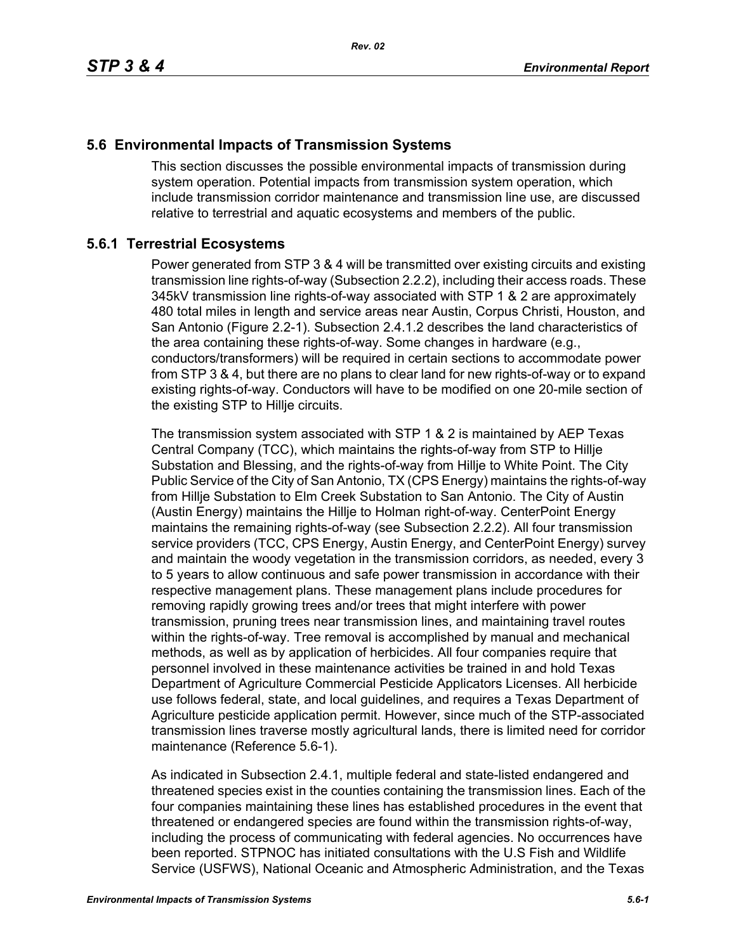## **5.6 Environmental Impacts of Transmission Systems**

This section discusses the possible environmental impacts of transmission during system operation. Potential impacts from transmission system operation, which include transmission corridor maintenance and transmission line use, are discussed relative to terrestrial and aquatic ecosystems and members of the public.

## **5.6.1 Terrestrial Ecosystems**

Power generated from STP 3 & 4 will be transmitted over existing circuits and existing transmission line rights-of-way (Subsection 2.2.2), including their access roads. These 345kV transmission line rights-of-way associated with STP 1 & 2 are approximately 480 total miles in length and service areas near Austin, Corpus Christi, Houston, and San Antonio (Figure 2.2-1). Subsection 2.4.1.2 describes the land characteristics of the area containing these rights-of-way. Some changes in hardware (e.g., conductors/transformers) will be required in certain sections to accommodate power from STP 3 & 4, but there are no plans to clear land for new rights-of-way or to expand existing rights-of-way. Conductors will have to be modified on one 20-mile section of the existing STP to Hillje circuits.

The transmission system associated with STP 1 & 2 is maintained by AEP Texas Central Company (TCC), which maintains the rights-of-way from STP to Hillje Substation and Blessing, and the rights-of-way from Hillje to White Point. The City Public Service of the City of San Antonio, TX (CPS Energy) maintains the rights-of-way from Hillje Substation to Elm Creek Substation to San Antonio. The City of Austin (Austin Energy) maintains the Hillje to Holman right-of-way. CenterPoint Energy maintains the remaining rights-of-way (see Subsection 2.2.2). All four transmission service providers (TCC, CPS Energy, Austin Energy, and CenterPoint Energy) survey and maintain the woody vegetation in the transmission corridors, as needed, every 3 to 5 years to allow continuous and safe power transmission in accordance with their respective management plans. These management plans include procedures for removing rapidly growing trees and/or trees that might interfere with power transmission, pruning trees near transmission lines, and maintaining travel routes within the rights-of-way. Tree removal is accomplished by manual and mechanical methods, as well as by application of herbicides. All four companies require that personnel involved in these maintenance activities be trained in and hold Texas Department of Agriculture Commercial Pesticide Applicators Licenses. All herbicide use follows federal, state, and local guidelines, and requires a Texas Department of Agriculture pesticide application permit. However, since much of the STP-associated transmission lines traverse mostly agricultural lands, there is limited need for corridor maintenance (Reference 5.6-1).

As indicated in Subsection 2.4.1, multiple federal and state-listed endangered and threatened species exist in the counties containing the transmission lines. Each of the four companies maintaining these lines has established procedures in the event that threatened or endangered species are found within the transmission rights-of-way, including the process of communicating with federal agencies. No occurrences have been reported. STPNOC has initiated consultations with the U.S Fish and Wildlife Service (USFWS), National Oceanic and Atmospheric Administration, and the Texas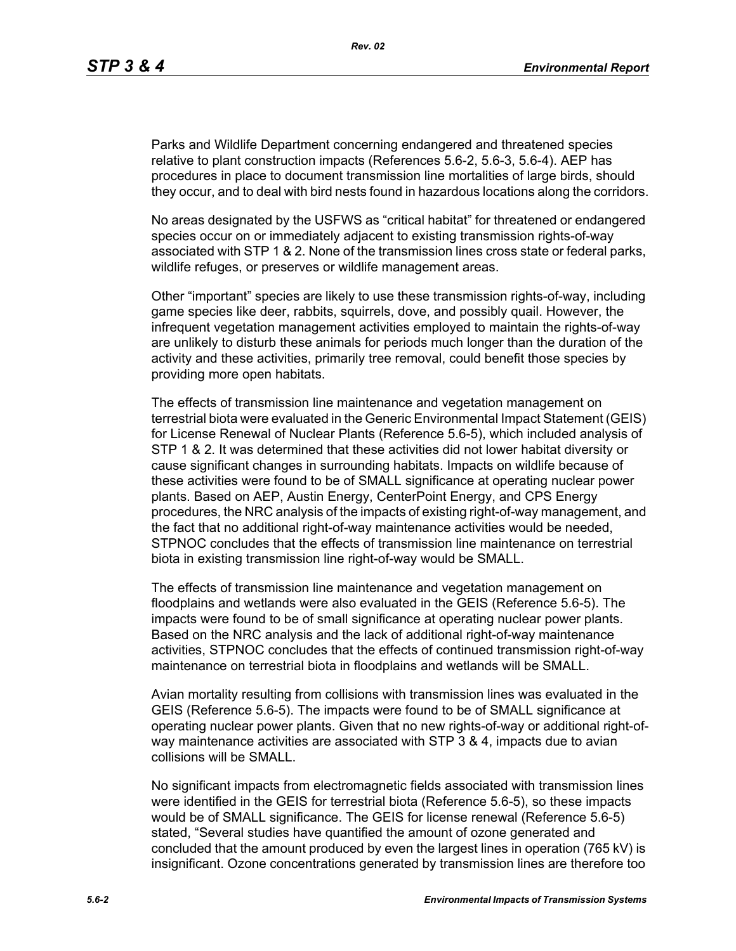Parks and Wildlife Department concerning endangered and threatened species relative to plant construction impacts (References 5.6-2, 5.6-3, 5.6-4). AEP has procedures in place to document transmission line mortalities of large birds, should they occur, and to deal with bird nests found in hazardous locations along the corridors.

No areas designated by the USFWS as "critical habitat" for threatened or endangered species occur on or immediately adjacent to existing transmission rights-of-way associated with STP 1 & 2. None of the transmission lines cross state or federal parks, wildlife refuges, or preserves or wildlife management areas.

Other "important" species are likely to use these transmission rights-of-way, including game species like deer, rabbits, squirrels, dove, and possibly quail. However, the infrequent vegetation management activities employed to maintain the rights-of-way are unlikely to disturb these animals for periods much longer than the duration of the activity and these activities, primarily tree removal, could benefit those species by providing more open habitats.

The effects of transmission line maintenance and vegetation management on terrestrial biota were evaluated in the Generic Environmental Impact Statement (GEIS) for License Renewal of Nuclear Plants (Reference 5.6-5), which included analysis of STP 1 & 2. It was determined that these activities did not lower habitat diversity or cause significant changes in surrounding habitats. Impacts on wildlife because of these activities were found to be of SMALL significance at operating nuclear power plants. Based on AEP, Austin Energy, CenterPoint Energy, and CPS Energy procedures, the NRC analysis of the impacts of existing right-of-way management, and the fact that no additional right-of-way maintenance activities would be needed, STPNOC concludes that the effects of transmission line maintenance on terrestrial biota in existing transmission line right-of-way would be SMALL.

The effects of transmission line maintenance and vegetation management on floodplains and wetlands were also evaluated in the GEIS (Reference 5.6-5). The impacts were found to be of small significance at operating nuclear power plants. Based on the NRC analysis and the lack of additional right-of-way maintenance activities, STPNOC concludes that the effects of continued transmission right-of-way maintenance on terrestrial biota in floodplains and wetlands will be SMALL.

Avian mortality resulting from collisions with transmission lines was evaluated in the GEIS (Reference 5.6-5). The impacts were found to be of SMALL significance at operating nuclear power plants. Given that no new rights-of-way or additional right-ofway maintenance activities are associated with STP 3 & 4, impacts due to avian collisions will be SMALL.

No significant impacts from electromagnetic fields associated with transmission lines were identified in the GEIS for terrestrial biota (Reference 5.6-5), so these impacts would be of SMALL significance. The GEIS for license renewal (Reference 5.6-5) stated, "Several studies have quantified the amount of ozone generated and concluded that the amount produced by even the largest lines in operation (765 kV) is insignificant. Ozone concentrations generated by transmission lines are therefore too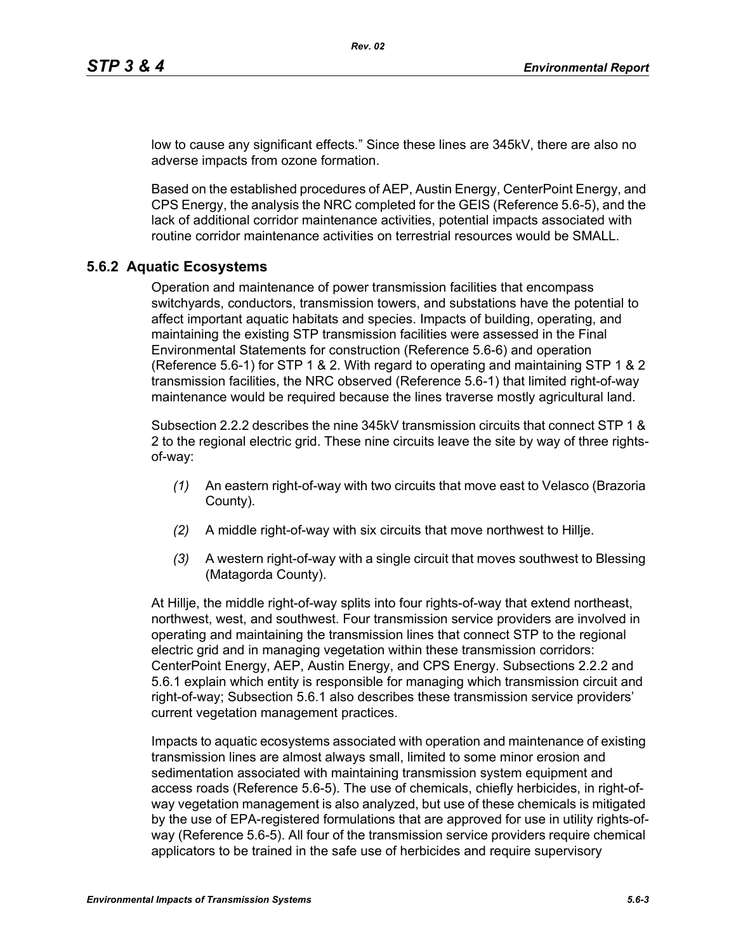low to cause any significant effects." Since these lines are 345kV, there are also no adverse impacts from ozone formation.

Based on the established procedures of AEP, Austin Energy, CenterPoint Energy, and CPS Energy, the analysis the NRC completed for the GEIS (Reference 5.6-5), and the lack of additional corridor maintenance activities, potential impacts associated with routine corridor maintenance activities on terrestrial resources would be SMALL.

#### **5.6.2 Aquatic Ecosystems**

Operation and maintenance of power transmission facilities that encompass switchyards, conductors, transmission towers, and substations have the potential to affect important aquatic habitats and species. Impacts of building, operating, and maintaining the existing STP transmission facilities were assessed in the Final Environmental Statements for construction (Reference 5.6-6) and operation (Reference 5.6-1) for STP 1 & 2. With regard to operating and maintaining STP 1 & 2 transmission facilities, the NRC observed (Reference 5.6-1) that limited right-of-way maintenance would be required because the lines traverse mostly agricultural land.

Subsection 2.2.2 describes the nine 345kV transmission circuits that connect STP 1 & 2 to the regional electric grid. These nine circuits leave the site by way of three rightsof-way:

- *(1)* An eastern right-of-way with two circuits that move east to Velasco (Brazoria County).
- *(2)* A middle right-of-way with six circuits that move northwest to Hillje.
- *(3)* A western right-of-way with a single circuit that moves southwest to Blessing (Matagorda County).

At Hillje, the middle right-of-way splits into four rights-of-way that extend northeast, northwest, west, and southwest. Four transmission service providers are involved in operating and maintaining the transmission lines that connect STP to the regional electric grid and in managing vegetation within these transmission corridors: CenterPoint Energy, AEP, Austin Energy, and CPS Energy. Subsections 2.2.2 and 5.6.1 explain which entity is responsible for managing which transmission circuit and right-of-way; Subsection 5.6.1 also describes these transmission service providers' current vegetation management practices.

Impacts to aquatic ecosystems associated with operation and maintenance of existing transmission lines are almost always small, limited to some minor erosion and sedimentation associated with maintaining transmission system equipment and access roads (Reference 5.6-5). The use of chemicals, chiefly herbicides, in right-ofway vegetation management is also analyzed, but use of these chemicals is mitigated by the use of EPA-registered formulations that are approved for use in utility rights-ofway (Reference 5.6-5). All four of the transmission service providers require chemical applicators to be trained in the safe use of herbicides and require supervisory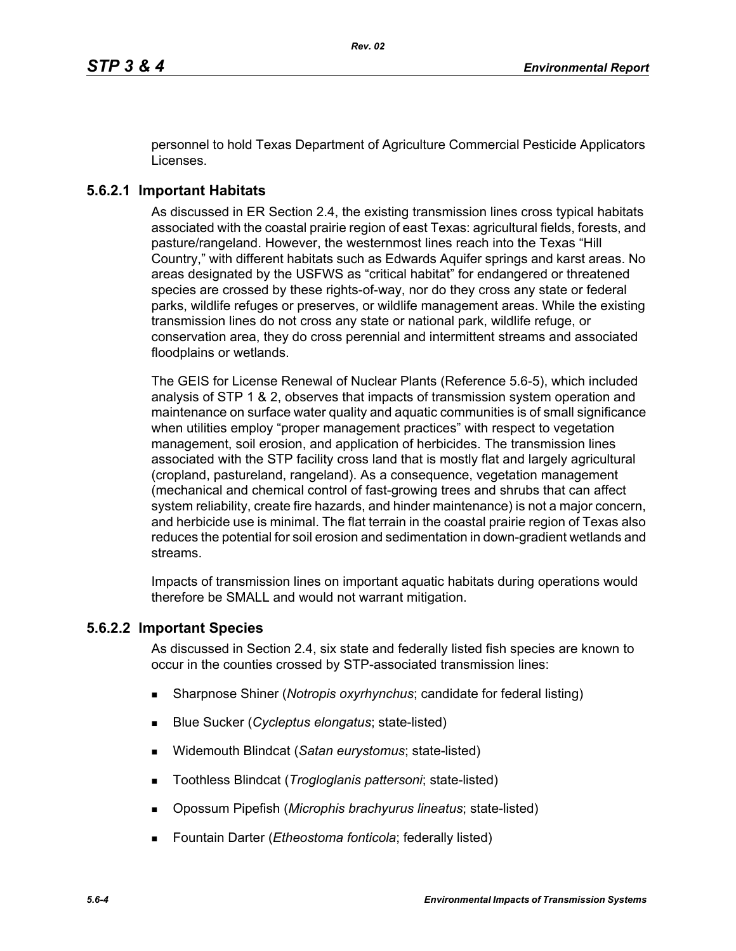personnel to hold Texas Department of Agriculture Commercial Pesticide Applicators Licenses.

## **5.6.2.1 Important Habitats**

As discussed in ER Section 2.4, the existing transmission lines cross typical habitats associated with the coastal prairie region of east Texas: agricultural fields, forests, and pasture/rangeland. However, the westernmost lines reach into the Texas "Hill Country," with different habitats such as Edwards Aquifer springs and karst areas. No areas designated by the USFWS as "critical habitat" for endangered or threatened species are crossed by these rights-of-way, nor do they cross any state or federal parks, wildlife refuges or preserves, or wildlife management areas. While the existing transmission lines do not cross any state or national park, wildlife refuge, or conservation area, they do cross perennial and intermittent streams and associated floodplains or wetlands.

The GEIS for License Renewal of Nuclear Plants (Reference 5.6-5), which included analysis of STP 1 & 2, observes that impacts of transmission system operation and maintenance on surface water quality and aquatic communities is of small significance when utilities employ "proper management practices" with respect to vegetation management, soil erosion, and application of herbicides. The transmission lines associated with the STP facility cross land that is mostly flat and largely agricultural (cropland, pastureland, rangeland). As a consequence, vegetation management (mechanical and chemical control of fast-growing trees and shrubs that can affect system reliability, create fire hazards, and hinder maintenance) is not a major concern, and herbicide use is minimal. The flat terrain in the coastal prairie region of Texas also reduces the potential for soil erosion and sedimentation in down-gradient wetlands and streams.

Impacts of transmission lines on important aquatic habitats during operations would therefore be SMALL and would not warrant mitigation.

## **5.6.2.2 Important Species**

As discussed in Section 2.4, six state and federally listed fish species are known to occur in the counties crossed by STP-associated transmission lines:

- Sharpnose Shiner (*Notropis oxyrhynchus*; candidate for federal listing)
- Blue Sucker (*Cycleptus elongatus*; state-listed)
- Widemouth Blindcat (*Satan eurystomus*; state-listed)
- Toothless Blindcat (*Trogloglanis pattersoni*; state-listed)
- Opossum Pipefish (*Microphis brachyurus lineatus*; state-listed)
- Fountain Darter (*Etheostoma fonticola*; federally listed)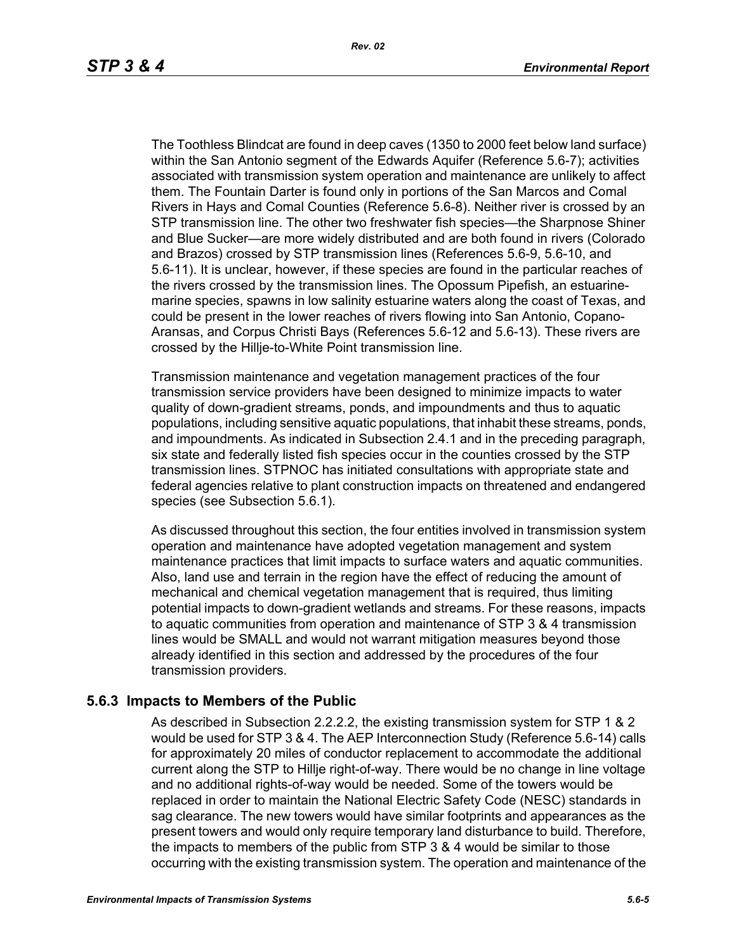The Toothless Blindcat are found in deep caves (1350 to 2000 feet below land surface) within the San Antonio segment of the Edwards Aquifer (Reference 5.6-7); activities associated with transmission system operation and maintenance are unlikely to affect them. The Fountain Darter is found only in portions of the San Marcos and Comal Rivers in Hays and Comal Counties (Reference 5.6-8). Neither river is crossed by an STP transmission line. The other two freshwater fish species—the Sharpnose Shiner and Blue Sucker—are more widely distributed and are both found in rivers (Colorado and Brazos) crossed by STP transmission lines (References 5.6-9, 5.6-10, and 5.6-11). It is unclear, however, if these species are found in the particular reaches of the rivers crossed by the transmission lines. The Opossum Pipefish, an estuarinemarine species, spawns in low salinity estuarine waters along the coast of Texas, and could be present in the lower reaches of rivers flowing into San Antonio, Copano-Aransas, and Corpus Christi Bays (References 5.6-12 and 5.6-13). These rivers are crossed by the Hillje-to-White Point transmission line.

Transmission maintenance and vegetation management practices of the four transmission service providers have been designed to minimize impacts to water quality of down-gradient streams, ponds, and impoundments and thus to aquatic populations, including sensitive aquatic populations, that inhabit these streams, ponds, and impoundments. As indicated in Subsection 2.4.1 and in the preceding paragraph, six state and federally listed fish species occur in the counties crossed by the STP transmission lines. STPNOC has initiated consultations with appropriate state and federal agencies relative to plant construction impacts on threatened and endangered species (see Subsection 5.6.1).

As discussed throughout this section, the four entities involved in transmission system operation and maintenance have adopted vegetation management and system maintenance practices that limit impacts to surface waters and aquatic communities. Also, land use and terrain in the region have the effect of reducing the amount of mechanical and chemical vegetation management that is required, thus limiting potential impacts to down-gradient wetlands and streams. For these reasons, impacts to aquatic communities from operation and maintenance of STP 3 & 4 transmission lines would be SMALL and would not warrant mitigation measures beyond those already identified in this section and addressed by the procedures of the four transmission providers.

#### **5.6.3 Impacts to Members of the Public**

As described in Subsection 2.2.2.2, the existing transmission system for STP 1 & 2 would be used for STP 3 & 4. The AEP Interconnection Study (Reference 5.6-14) calls for approximately 20 miles of conductor replacement to accommodate the additional current along the STP to Hillje right-of-way. There would be no change in line voltage and no additional rights-of-way would be needed. Some of the towers would be replaced in order to maintain the National Electric Safety Code (NESC) standards in sag clearance. The new towers would have similar footprints and appearances as the present towers and would only require temporary land disturbance to build. Therefore, the impacts to members of the public from STP 3 & 4 would be similar to those occurring with the existing transmission system. The operation and maintenance of the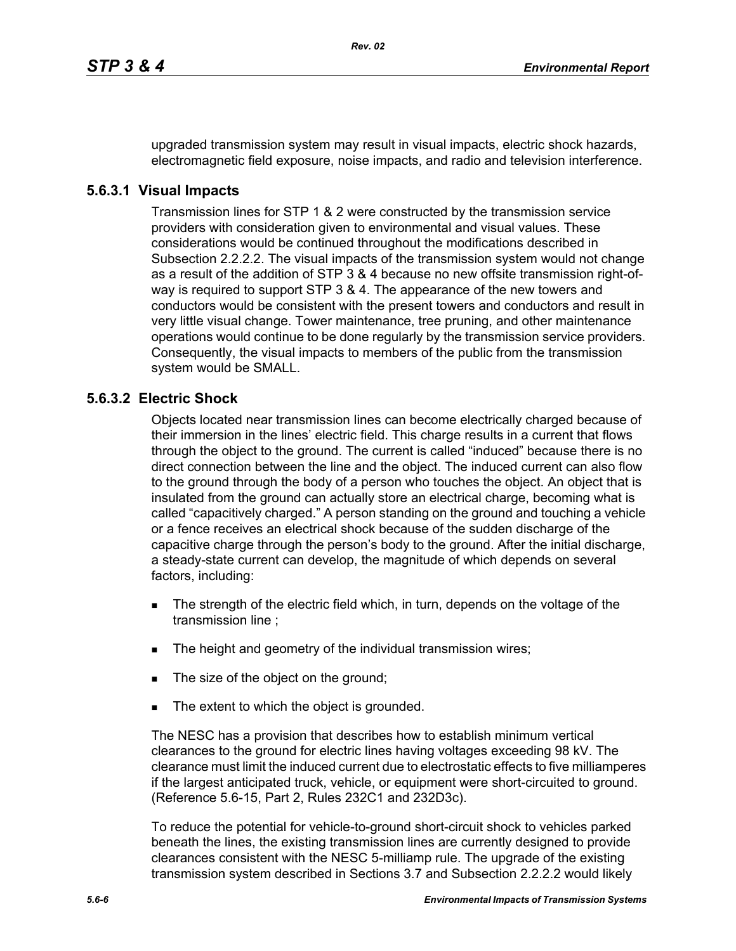upgraded transmission system may result in visual impacts, electric shock hazards, electromagnetic field exposure, noise impacts, and radio and television interference.

### **5.6.3.1 Visual Impacts**

Transmission lines for STP 1 & 2 were constructed by the transmission service providers with consideration given to environmental and visual values. These considerations would be continued throughout the modifications described in Subsection 2.2.2.2. The visual impacts of the transmission system would not change as a result of the addition of STP 3 & 4 because no new offsite transmission right-ofway is required to support STP 3 & 4. The appearance of the new towers and conductors would be consistent with the present towers and conductors and result in very little visual change. Tower maintenance, tree pruning, and other maintenance operations would continue to be done regularly by the transmission service providers. Consequently, the visual impacts to members of the public from the transmission system would be SMALL.

## **5.6.3.2 Electric Shock**

Objects located near transmission lines can become electrically charged because of their immersion in the lines' electric field. This charge results in a current that flows through the object to the ground. The current is called "induced" because there is no direct connection between the line and the object. The induced current can also flow to the ground through the body of a person who touches the object. An object that is insulated from the ground can actually store an electrical charge, becoming what is called "capacitively charged." A person standing on the ground and touching a vehicle or a fence receives an electrical shock because of the sudden discharge of the capacitive charge through the person's body to the ground. After the initial discharge, a steady-state current can develop, the magnitude of which depends on several factors, including:

- The strength of the electric field which, in turn, depends on the voltage of the transmission line ;
- The height and geometry of the individual transmission wires;
- The size of the object on the ground;
- The extent to which the object is grounded.

The NESC has a provision that describes how to establish minimum vertical clearances to the ground for electric lines having voltages exceeding 98 kV. The clearance must limit the induced current due to electrostatic effects to five milliamperes if the largest anticipated truck, vehicle, or equipment were short-circuited to ground. (Reference 5.6-15, Part 2, Rules 232C1 and 232D3c).

To reduce the potential for vehicle-to-ground short-circuit shock to vehicles parked beneath the lines, the existing transmission lines are currently designed to provide clearances consistent with the NESC 5-milliamp rule. The upgrade of the existing transmission system described in Sections 3.7 and Subsection 2.2.2.2 would likely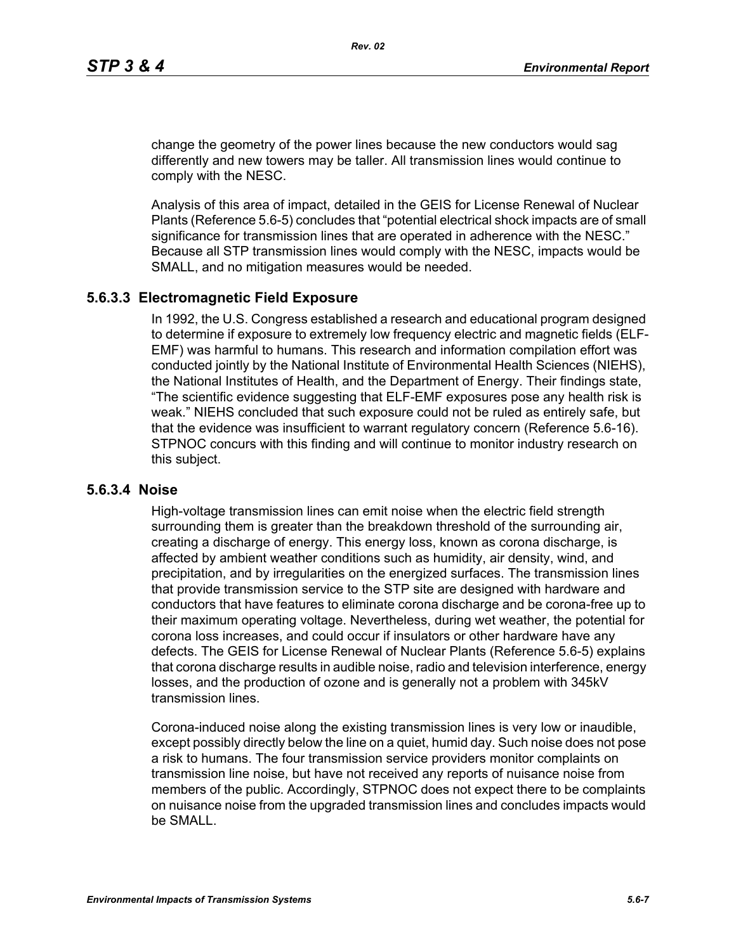change the geometry of the power lines because the new conductors would sag differently and new towers may be taller. All transmission lines would continue to comply with the NESC.

Analysis of this area of impact, detailed in the GEIS for License Renewal of Nuclear Plants (Reference 5.6-5) concludes that "potential electrical shock impacts are of small significance for transmission lines that are operated in adherence with the NESC." Because all STP transmission lines would comply with the NESC, impacts would be SMALL, and no mitigation measures would be needed.

#### **5.6.3.3 Electromagnetic Field Exposure**

In 1992, the U.S. Congress established a research and educational program designed to determine if exposure to extremely low frequency electric and magnetic fields (ELF-EMF) was harmful to humans. This research and information compilation effort was conducted jointly by the National Institute of Environmental Health Sciences (NIEHS), the National Institutes of Health, and the Department of Energy. Their findings state, "The scientific evidence suggesting that ELF-EMF exposures pose any health risk is weak." NIEHS concluded that such exposure could not be ruled as entirely safe, but that the evidence was insufficient to warrant regulatory concern (Reference 5.6-16). STPNOC concurs with this finding and will continue to monitor industry research on this subject.

#### **5.6.3.4 Noise**

High-voltage transmission lines can emit noise when the electric field strength surrounding them is greater than the breakdown threshold of the surrounding air, creating a discharge of energy. This energy loss, known as corona discharge, is affected by ambient weather conditions such as humidity, air density, wind, and precipitation, and by irregularities on the energized surfaces. The transmission lines that provide transmission service to the STP site are designed with hardware and conductors that have features to eliminate corona discharge and be corona-free up to their maximum operating voltage. Nevertheless, during wet weather, the potential for corona loss increases, and could occur if insulators or other hardware have any defects. The GEIS for License Renewal of Nuclear Plants (Reference 5.6-5) explains that corona discharge results in audible noise, radio and television interference, energy losses, and the production of ozone and is generally not a problem with 345kV transmission lines.

Corona-induced noise along the existing transmission lines is very low or inaudible, except possibly directly below the line on a quiet, humid day. Such noise does not pose a risk to humans. The four transmission service providers monitor complaints on transmission line noise, but have not received any reports of nuisance noise from members of the public. Accordingly, STPNOC does not expect there to be complaints on nuisance noise from the upgraded transmission lines and concludes impacts would be SMALL.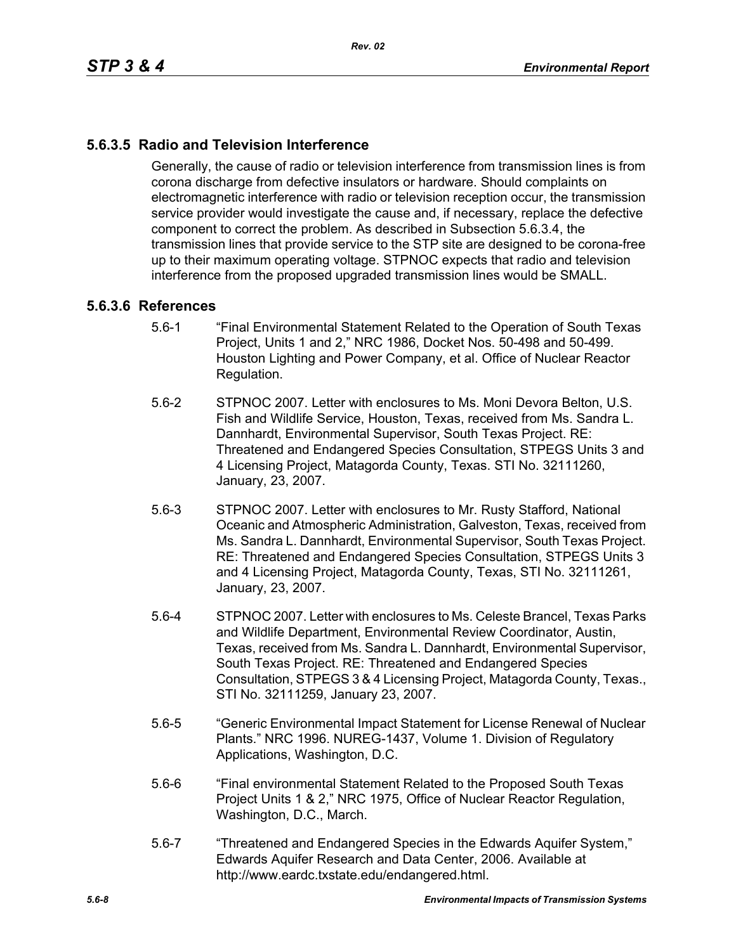# **5.6.3.5 Radio and Television Interference**

Generally, the cause of radio or television interference from transmission lines is from corona discharge from defective insulators or hardware. Should complaints on electromagnetic interference with radio or television reception occur, the transmission service provider would investigate the cause and, if necessary, replace the defective component to correct the problem. As described in Subsection 5.6.3.4, the transmission lines that provide service to the STP site are designed to be corona-free up to their maximum operating voltage. STPNOC expects that radio and television interference from the proposed upgraded transmission lines would be SMALL.

#### **5.6.3.6 References**

- 5.6-1 "Final Environmental Statement Related to the Operation of South Texas Project, Units 1 and 2," NRC 1986, Docket Nos. 50-498 and 50-499. Houston Lighting and Power Company, et al. Office of Nuclear Reactor Regulation.
- 5.6-2 STPNOC 2007. Letter with enclosures to Ms. Moni Devora Belton, U.S. Fish and Wildlife Service, Houston, Texas, received from Ms. Sandra L. Dannhardt, Environmental Supervisor, South Texas Project. RE: Threatened and Endangered Species Consultation, STPEGS Units 3 and 4 Licensing Project, Matagorda County, Texas. STI No. 32111260, January, 23, 2007.
- 5.6-3 STPNOC 2007. Letter with enclosures to Mr. Rusty Stafford, National Oceanic and Atmospheric Administration, Galveston, Texas, received from Ms. Sandra L. Dannhardt, Environmental Supervisor, South Texas Project. RE: Threatened and Endangered Species Consultation, STPEGS Units 3 and 4 Licensing Project, Matagorda County, Texas, STI No. 32111261, January, 23, 2007.
- 5.6-4 STPNOC 2007. Letter with enclosures to Ms. Celeste Brancel, Texas Parks and Wildlife Department, Environmental Review Coordinator, Austin, Texas, received from Ms. Sandra L. Dannhardt, Environmental Supervisor, South Texas Project. RE: Threatened and Endangered Species Consultation, STPEGS 3 & 4 Licensing Project, Matagorda County, Texas., STI No. 32111259, January 23, 2007.
- 5.6-5 "Generic Environmental Impact Statement for License Renewal of Nuclear Plants." NRC 1996. NUREG-1437, Volume 1. Division of Regulatory Applications, Washington, D.C.
- 5.6-6 "Final environmental Statement Related to the Proposed South Texas Project Units 1 & 2," NRC 1975, Office of Nuclear Reactor Regulation, Washington, D.C., March.
- 5.6-7 "Threatened and Endangered Species in the Edwards Aquifer System," Edwards Aquifer Research and Data Center, 2006. Available at http://www.eardc.txstate.edu/endangered.html.